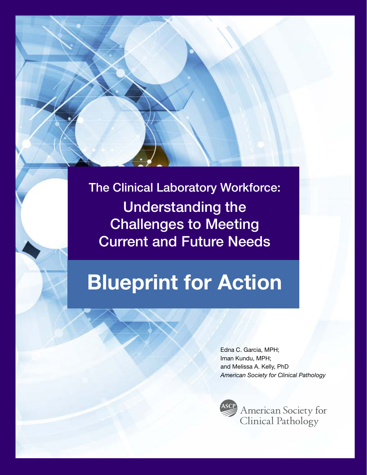The Clinical Laboratory Workforce: Understanding the Challenges to Meeting Current and Future Needs

# Blueprint for Action

Edna C. Garcia, MPH; Iman Kundu, MPH; and Melissa A. Kelly, PhD *American Society for Clinical Pathology*

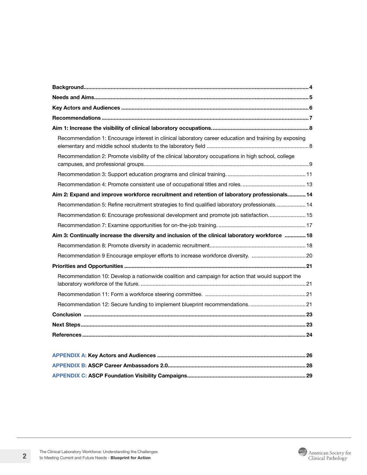| Recommendation 1: Encourage interest in clinical laboratory career education and training by exposing |  |
|-------------------------------------------------------------------------------------------------------|--|
| Recommendation 2: Promote visibility of the clinical laboratory occupations in high school, college   |  |
|                                                                                                       |  |
|                                                                                                       |  |
| Aim 2: Expand and improve workforce recruitment and retention of laboratory professionals 14          |  |
| Recommendation 5: Refine recruitment strategies to find qualified laboratory professionals 14         |  |
| Recommendation 6: Encourage professional development and promote job satisfaction 15                  |  |
|                                                                                                       |  |
| Aim 3: Continually increase the diversity and inclusion of the clinical laboratory workforce  18      |  |
|                                                                                                       |  |
| Recommendation 9 Encourage employer efforts to increase workforce diversity. 20                       |  |
|                                                                                                       |  |
| Recommendation 10: Develop a nationwide coalition and campaign for action that would support the      |  |
|                                                                                                       |  |
| Recommendation 12: Secure funding to implement blueprint recommendations21                            |  |
|                                                                                                       |  |
|                                                                                                       |  |
|                                                                                                       |  |
|                                                                                                       |  |
|                                                                                                       |  |
|                                                                                                       |  |
|                                                                                                       |  |

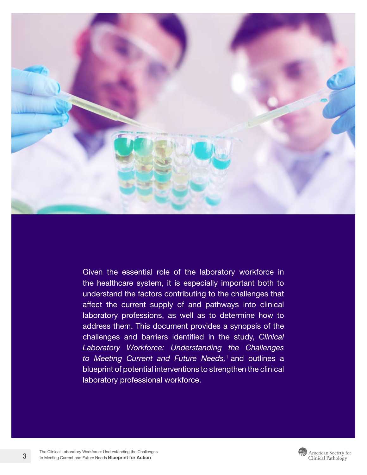

Given the essential role of the laboratory workforce in the healthcare system, it is especially important both to understand the factors contributing to the challenges that affect the current supply of and pathways into clinical laboratory professions, as well as to determine how to address them. This document provides a synopsis of the challenges and barriers identified in the study, *[Clinical](https://ascpcdn.s3.amazonaws.com/static/ISTP/Siemens_Clinical+Laboratory+Workforce_Brochure_042721.pdf) [Laboratory Workforce: Understanding the Challenges](https://ascpcdn.s3.amazonaws.com/static/ISTP/Siemens_Clinical+Laboratory+Workforce_Brochure_042721.pdf)  [to Meeting Current and Future Needs](https://ascpcdn.s3.amazonaws.com/static/ISTP/Siemens_Clinical+Laboratory+Workforce_Brochure_042721.pdf),*1 and outlines a blueprint of potential interventions to strengthen the clinical laboratory professional workforce.

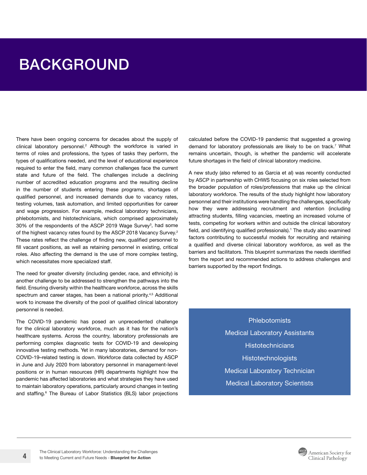# <span id="page-3-0"></span>BACKGROUND

There have been ongoing concerns for decades about the supply of clinical laboratory personnel.<sup>2</sup> Although the workforce is varied in terms of roles and professions, the types of tasks they perform, the types of qualifications needed, and the level of educational experience required to enter the field, many common challenges face the current state and future of the field. The challenges include a declining number of accredited education programs and the resulting decline in the number of students entering these programs, shortages of qualified personnel, and increased demands due to vacancy rates, testing volumes, task automation, and limited opportunities for career and wage progression. For example, medical laboratory technicians, phlebotomists, and histotechnicians, which comprised approximately 30% of the respondents of the ASCP 2019 Wage Survey<sup>3</sup>, had some of the highest vacancy rates found by the ASCP 2018 Vacancy Survey.<sup>2</sup> These rates reflect the challenge of finding new, qualified personnel to fill vacant positions, as well as retaining personnel in existing, critical roles. Also affecting the demand is the use of more complex testing, which necessitates more specialized staff.

The need for greater diversity (including gender, race, and ethnicity) is another challenge to be addressed to strengthen the pathways into the field. Ensuring diversity within the healthcare workforce, across the skills spectrum and career stages, has been a national priority.<sup>4,5</sup> Additional work to increase the diversity of the pool of qualified clinical laboratory personnel is needed.

The COVID-19 pandemic has posed an unprecedented challenge for the clinical laboratory workforce, much as it has for the nation's healthcare systems. Across the country, laboratory professionals are performing complex diagnostic tests for COVID-19 and developing innovative testing methods. Yet in many laboratories, demand for non-COVID-19–related testing is down. Workforce data collected by ASCP in June and July 2020 from laboratory personnel in management-level positions or in human resources (HR) departments highlight how the pandemic has affected laboratories and what strategies they have used to maintain laboratory operations, particularly around changes in testing and staffing.<sup>6</sup> The Bureau of Labor Statistics (BLS) labor projections calculated before the COVID-19 pandemic that suggested a growing demand for laboratory professionals are likely to be on track.<sup>7</sup> What remains uncertain, though, is whether the pandemic will accelerate future shortages in the field of clinical laboratory medicine.

A new study (also referred to as Garcia et al) was recently conducted by ASCP in partnership with CHWS focusing on six roles selected from the broader population of roles/professions that make up the clinical laboratory workforce. The results of the study highlight how laboratory personnel and their institutions were handling the challenges, specifically how they were addressing recruitment and retention (including attracting students, filling vacancies, meeting an increased volume of tests, competing for workers within and outside the clinical laboratory field, and identifying qualified professionals).<sup>1</sup> The study also examined factors contributing to successful models for recruiting and retaining a qualified and diverse clinical laboratory workforce, as well as the barriers and facilitators. This blueprint summarizes the needs identified from the report and recommended actions to address challenges and barriers supported by the report findings.

> **Phlebotomists** Medical Laboratory Assistants **Histotechnicians Histotechnologists** Medical Laboratory Technician Medical Laboratory Scientists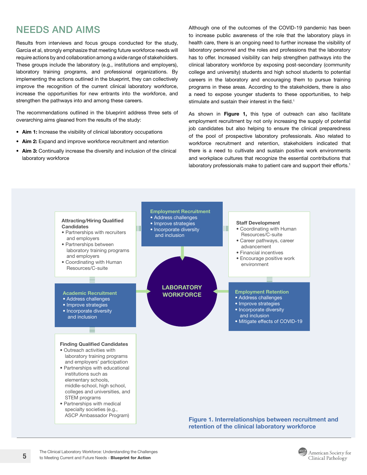## <span id="page-4-0"></span>NEEDS AND AIMS

Results from interviews and focus groups conducted for the study, Garcia et al, strongly emphasize that meeting future workforce needs will require actions by and collaboration among a wide range of stakeholders. These groups include the laboratory (e.g., institutions and employers), laboratory training programs, and professional organizations. By implementing the actions outlined in the blueprint, they can collectively improve the recognition of the current clinical laboratory workforce, increase the opportunities for new entrants into the workforce, and strengthen the pathways into and among these careers.

The recommendations outlined in the blueprint address three sets of overarching aims gleaned from the results of the study:

- Aim 1: Increase the visibility of clinical laboratory occupations
- Aim 2: Expand and improve workforce recruitment and retention
- Aim 3: Continually increase the diversity and inclusion of the clinical laboratory workforce

Although one of the outcomes of the COVID-19 pandemic has been to increase public awareness of the role that the laboratory plays in health care, there is an ongoing need to further increase the visibility of laboratory personnel and the roles and professions that the laboratory has to offer. Increased visibility can help strengthen pathways into the clinical laboratory workforce by exposing post-secondary (community college and university) students and high school students to potential careers in the laboratory and encouraging them to pursue training programs in these areas. According to the stakeholders, there is also a need to expose younger students to these opportunities, to help stimulate and sustain their interest in the field.<sup>1</sup>

As shown in [Figure 1,](#page-4-1) this type of outreach can also facilitate employment recruitment by not only increasing the supply of potential job candidates but also helping to ensure the clinical preparedness of the pool of prospective laboratory professionals. Also related to workforce recruitment and retention, stakeholders indicated that there is a need to cultivate and sustain positive work environments and workplace cultures that recognize the essential contributions that laboratory professionals make to patient care and support their efforts.<sup>1</sup>



<span id="page-4-1"></span>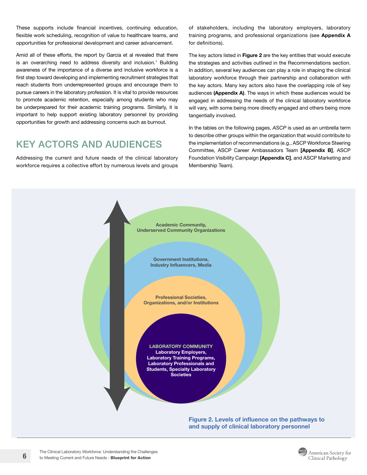<span id="page-5-0"></span>These supports include financial incentives, continuing education, flexible work scheduling, recognition of value to healthcare teams, and opportunities for professional development and career advancement.

Amid all of these efforts, the report by Garcia et al revealed that there is an overarching need to address diversity and inclusion.<sup>1</sup> Building awareness of the importance of a diverse and inclusive workforce is a first step toward developing and implementing recruitment strategies that reach students from underrepresented groups and encourage them to pursue careers in the laboratory profession. It is vital to provide resources to promote academic retention, especially among students who may be underprepared for their academic training programs. Similarly, it is important to help support existing laboratory personnel by providing opportunities for growth and addressing concerns such as burnout.

### KEY ACTORS AND AUDIENCES

Addressing the current and future needs of the clinical laboratory Foundation Visibility Campaign [Ap workforce requires a collective effort by numerous levels and groups

of stakeholders, including the laboratory employers, laboratory training programs, and professional organizations (see [Appendix A](#page-25-1) for definitions).

The key actors listed in Figure 2 are the key entities that would execute the strategies and activities outlined in the Recommendations section. In addition, several key audiences can play a role in shaping the clinical laboratory workforce through their partnership and collaboration with the key actors. Many key actors also have the overlapping role of key audiences ([Appendix A](#page-25-1)). The ways in which these audiences would be engaged in addressing the needs of the clinical laboratory workforce will vary, with some being more directly engaged and others being more tangentially involved.

In the tables on the following pages, *ASCP* is used as an umbrella term to describe other groups within the organization that would contribute to the implementation of recommendations (e.g., ASCP Workforce Steering Committee, ASCP Career Ambassadors Team [\[Appendix B\]](#page-27-1), ASCP Foundation Visibility Campaign [[Appendix C\]](#page-28-1), and ASCP Marketing and Membership Team).



Figure 2. Levels of influence on the pathways to and supply of clinical laboratory personnel

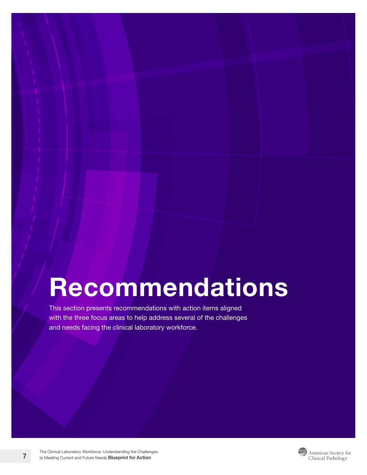# <span id="page-6-0"></span>Recommendations

This section presents recommendations with action items aligned with the three focus areas to help address several of the challenges and needs facing the clinical laboratory workforce.

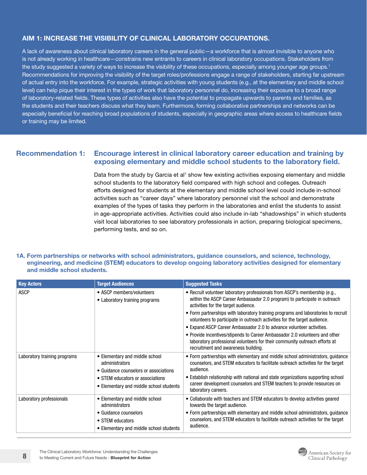#### <span id="page-7-0"></span>AIM 1: INCREASE THE VISIBILITY OF CLINICAL LABORATORY OCCUPATIONS.

A lack of awareness about clinical laboratory careers in the general public—a workforce that is almost invisible to anyone who is not already working in healthcare—constrains new entrants to careers in clinical laboratory occupations. Stakeholders from the study suggested a variety of ways to increase the visibility of these occupations, especially among younger age groups.<sup>1</sup> Recommendations for improving the visibility of the target roles/professions engage a range of stakeholders, starting far upstream of actual entry into the workforce. For example, strategic activities with young students (e.g., at the elementary and middle school level) can help pique their interest in the types of work that laboratory personnel do, increasing their exposure to a broad range of laboratory-related fields. These types of activities also have the potential to propagate upwards to parents and families, as the students and their teachers discuss what they learn. Furthermore, forming collaborative partnerships and networks can be especially beneficial for reaching broad populations of students, especially in geographic areas where access to healthcare fields or training may be limited.

#### Recommendation 1: Encourage interest in clinical laboratory career education and training by exposing elementary and middle school students to the laboratory field.

Data from the study by Garcia et al<sup>1</sup> show few existing activities exposing elementary and middle school students to the laboratory field compared with high school and colleges. Outreach efforts designed for students at the elementary and middle school level could include in-school activities such as "career days" where laboratory personnel visit the school and demonstrate examples of the types of tasks they perform in the laboratories and enlist the students to assist in age-appropriate activities. Activities could also include in-lab "shadowships" in which students visit local laboratories to see laboratory professionals in action, preparing biological specimens, performing tests, and so on.

#### 1A. Form partnerships or networks with school administrators, guidance counselors, and science, technology, engineering, and medicine (STEM) educators to develop ongoing laboratory activities designed for elementary and middle school students.

| <b>Key Actors</b>            | <b>Target Audiences</b>                                                                                                                                                  | <b>Suggested Tasks</b>                                                                                                                                                                                                                                                                                                                                               |
|------------------------------|--------------------------------------------------------------------------------------------------------------------------------------------------------------------------|----------------------------------------------------------------------------------------------------------------------------------------------------------------------------------------------------------------------------------------------------------------------------------------------------------------------------------------------------------------------|
| <b>ASCP</b>                  | • ASCP members/volunteers<br>• Laboratory training programs                                                                                                              | • Recruit volunteer laboratory professionals from ASCP's membership (e.g.,<br>within the ASCP Career Ambassador 2.0 program) to participate in outreach<br>activities for the target audience.                                                                                                                                                                       |
|                              |                                                                                                                                                                          | • Form partnerships with laboratory training programs and laboratories to recruit<br>volunteers to participate in outreach activities for the target audience.                                                                                                                                                                                                       |
|                              |                                                                                                                                                                          | • Expand ASCP Career Ambassador 2.0 to advance volunteer activities.                                                                                                                                                                                                                                                                                                 |
|                              |                                                                                                                                                                          | • Provide incentives/stipends to Career Ambassador 2.0 volunteers and other<br>laboratory professional volunteers for their community outreach efforts at<br>recruitment and awareness building.                                                                                                                                                                     |
| Laboratory training programs | • Elementary and middle school<br>administrators<br>• Guidance counselors or associations<br>• STEM educators or associations<br>• Elementary and middle school students | • Form partnerships with elementary and middle school administrators, guidance<br>counselors, and STEM educators to facilitate outreach activities for the target<br>audience.<br>• Establish relationship with national and state organizations supporting school<br>career development counselors and STEM teachers to provide resources on<br>laboratory careers. |
| Laboratory professionals     | • Elementary and middle school<br>administrators                                                                                                                         | • Collaborate with teachers and STEM educators to develop activities geared<br>towards the target audience.                                                                                                                                                                                                                                                          |
|                              | • Guidance counselors<br>• STEM educators<br>• Elementary and middle school students                                                                                     | • Form partnerships with elementary and middle school administrators, guidance<br>counselors, and STEM educators to facilitate outreach activities for the target<br>audience.                                                                                                                                                                                       |

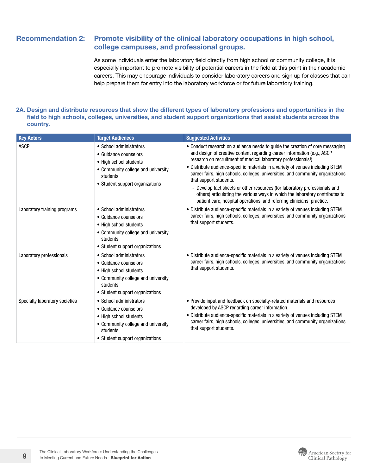#### <span id="page-8-0"></span>Recommendation 2: Promote visibility of the clinical laboratory occupations in high school, college campuses, and professional groups.

As some individuals enter the laboratory field directly from high school or community college, it is especially important to promote visibility of potential careers in the field at this point in their academic careers. This may encourage individuals to consider laboratory careers and sign up for classes that can help prepare them for entry into the laboratory workforce or for future laboratory training.

#### 2A. Design and distribute resources that show the different types of laboratory professions and opportunities in the field to high schools, colleges, universities, and student support organizations that assist students across the country.

| <b>Key Actors</b>              | <b>Target Audiences</b>                                                                                                                                         | <b>Suggested Activities</b>                                                                                                                                                                                                                                                                                                                                                                                                                                                                                                                                                                                                                                                   |
|--------------------------------|-----------------------------------------------------------------------------------------------------------------------------------------------------------------|-------------------------------------------------------------------------------------------------------------------------------------------------------------------------------------------------------------------------------------------------------------------------------------------------------------------------------------------------------------------------------------------------------------------------------------------------------------------------------------------------------------------------------------------------------------------------------------------------------------------------------------------------------------------------------|
| <b>ASCP</b>                    | • School administrators<br>• Guidance counselors<br>• High school students<br>• Community college and university<br>students<br>• Student support organizations | • Conduct research on audience needs to guide the creation of core messaging<br>and design of creative content regarding career information (e.g., ASCP<br>research on recruitment of medical laboratory professionals <sup>8</sup> ).<br>• Distribute audience-specific materials in a variety of venues including STEM<br>career fairs, high schools, colleges, universities, and community organizations<br>that support students.<br>- Develop fact sheets or other resources (for laboratory professionals and<br>others) articulating the various ways in which the laboratory contributes to<br>patient care, hospital operations, and referring clinicians' practice. |
| Laboratory training programs   | • School administrators<br>• Guidance counselors<br>• High school students<br>• Community college and university<br>students<br>• Student support organizations | • Distribute audience-specific materials in a variety of venues including STEM<br>career fairs, high schools, colleges, universities, and community organizations<br>that support students.                                                                                                                                                                                                                                                                                                                                                                                                                                                                                   |
| Laboratory professionals       | • School administrators<br>• Guidance counselors<br>• High school students<br>• Community college and university<br>students<br>• Student support organizations | • Distribute audience-specific materials in a variety of venues including STEM<br>career fairs, high schools, colleges, universities, and community organizations<br>that support students.                                                                                                                                                                                                                                                                                                                                                                                                                                                                                   |
| Specialty laboratory societies | • School administrators<br>• Guidance counselors<br>• High school students<br>• Community college and university<br>students<br>• Student support organizations | • Provide input and feedback on specialty-related materials and resources<br>developed by ASCP regarding career information.<br>• Distribute audience-specific materials in a variety of venues including STEM<br>career fairs, high schools, colleges, universities, and community organizations<br>that support students.                                                                                                                                                                                                                                                                                                                                                   |

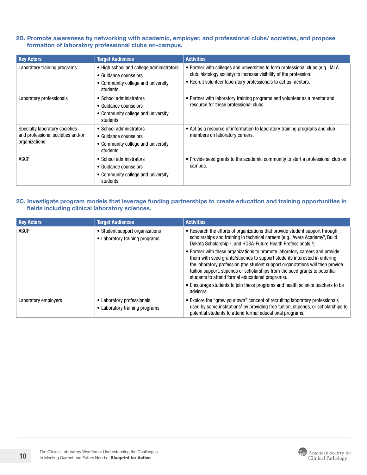2B. Promote awareness by networking with academic, employer, and professional clubs/ societies, and propose formation of laboratory professional clubs on-campus.

| <b>Key Actors</b>                                                                    | <b>Target Audiences</b>                                                                                             | <b>Activities</b>                                                                                                                                                                                                       |
|--------------------------------------------------------------------------------------|---------------------------------------------------------------------------------------------------------------------|-------------------------------------------------------------------------------------------------------------------------------------------------------------------------------------------------------------------------|
| Laboratory training programs                                                         | • High school and college administrators<br>• Guidance counselors<br>• Community college and university<br>students | • Partner with colleges and universities to form professional clubs (e.g., MLA<br>club, histology society) to increase visibility of the profession.<br>• Recruit volunteer laboratory professionals to act as mentors. |
| Laboratory professionals                                                             | • School administrators<br>• Guidance counselors<br>• Community college and university<br>students                  | • Partner with laboratory training programs and volunteer as a mentor and<br>resource for these professional clubs.                                                                                                     |
| Specialty laboratory societies<br>and professional societies and/or<br>organizations | • School administrators<br>• Guidance counselors<br>• Community college and university<br>students                  | • Act as a resource of information to laboratory training programs and club<br>members on laboratory careers.                                                                                                           |
| <b>ASCP</b>                                                                          | • School administrators<br>• Guidance counselors<br>• Community college and university<br>students                  | • Provide seed grants to the academic community to start a professional club on<br>campus.                                                                                                                              |

#### 2C. Investigate program models that leverage funding partnerships to create education and training opportunities in fields including clinical laboratory sciences.

| <b>Key Actors</b>    | <b>Target Audiences</b>                                           | <b>Activities</b>                                                                                                                                                                                                                                                                                                                                                                                                                                                                                                                                                                                                                                                                                                                                    |
|----------------------|-------------------------------------------------------------------|------------------------------------------------------------------------------------------------------------------------------------------------------------------------------------------------------------------------------------------------------------------------------------------------------------------------------------------------------------------------------------------------------------------------------------------------------------------------------------------------------------------------------------------------------------------------------------------------------------------------------------------------------------------------------------------------------------------------------------------------------|
| <b>ASCP</b>          | • Student support organizations<br>• Laboratory training programs | • Research the efforts of organizations that provide student support through<br>scholarships and training in technical careers (e.g., Avera Academy <sup>9</sup> , Build<br>Dakota Scholarship <sup>10</sup> , and HOSA-Future Health Professionals <sup>11</sup> ).<br>• Partner with these organizations to promote laboratory careers and provide<br>them with seed grants/stipends to support students interested in entering<br>the laboratory profession (the student support organizations will then provide<br>tuition support, stipends or scholarships from the seed grants to potential<br>students to attend formal educational programs).<br>• Encourage students to join these programs and health science teachers to be<br>advisors. |
| Laboratory employers | • Laboratory professionals<br>• Laboratory training programs      | • Explore the "grow your own" concept of recruiting laboratory professionals<br>used by some institutions <sup>1</sup> by providing free tuition, stipends, or scholarships to<br>potential students to attend formal educational programs.                                                                                                                                                                                                                                                                                                                                                                                                                                                                                                          |

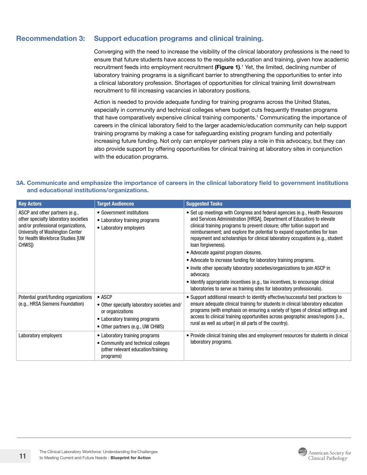#### <span id="page-10-0"></span>Recommendation 3: Support education programs and clinical training.

Converging with the need to increase the visibility of the clinical laboratory professions is the need to ensure that future students have access to the requisite education and training, given how academic recruitment feeds into employment recruitment [\(Figure 1\)](#page-4-1).<sup>1</sup> Yet, the limited, declining number of laboratory training programs is a significant barrier to strengthening the opportunities to enter into a clinical laboratory profession. Shortages of opportunities for clinical training limit downstream recruitment to fill increasing vacancies in laboratory positions.

Action is needed to provide adequate funding for training programs across the United States, especially in community and technical colleges where budget cuts frequently threaten programs that have comparatively expensive clinical training components.<sup>1</sup> Communicating the importance of careers in the clinical laboratory field to the larger academic/education community can help support training programs by making a case for safeguarding existing program funding and potentially increasing future funding. Not only can employer partners play a role in this advocacy, but they can also provide support by offering opportunities for clinical training at laboratory sites in conjunction with the education programs.

#### 3A. Communicate and emphasize the importance of careers in the clinical laboratory field to government institutions and educational institutions/organizations.

| <b>Key Actors</b>                                                                                                                                                                                        | <b>Target Audiences</b>                                                                                                                                 | <b>Suggested Tasks</b>                                                                                                                                                                                                                                                                                                                                                                                                                                                                                                                                                                                                                                                                                                                                                                      |
|----------------------------------------------------------------------------------------------------------------------------------------------------------------------------------------------------------|---------------------------------------------------------------------------------------------------------------------------------------------------------|---------------------------------------------------------------------------------------------------------------------------------------------------------------------------------------------------------------------------------------------------------------------------------------------------------------------------------------------------------------------------------------------------------------------------------------------------------------------------------------------------------------------------------------------------------------------------------------------------------------------------------------------------------------------------------------------------------------------------------------------------------------------------------------------|
| ASCP and other partners (e.g.,<br>other specialty laboratory societies<br>and/or professional organizations,<br>University of Washington Center<br>for Health Workforce Studies [UW<br>CHWS <sub>I</sub> | • Government institutions<br>• Laboratory training programs<br>• Laboratory employers                                                                   | • Set up meetings with Congress and federal agencies (e.g., Health Resources<br>and Services Administration [HRSA], Department of Education) to elevate<br>clinical training programs to prevent closure; offer tuition support and<br>reimbursement; and explore the potential to expand opportunities for loan<br>repayment and scholarships for clinical laboratory occupations (e.g., student<br>loan forgiveness).<br>• Advocate against program closures.<br>• Advocate to increase funding for laboratory training programs.<br>• Invite other specialty laboratory societies/organizations to join ASCP in<br>advocacy.<br>• Identify appropriate incentives (e.g., tax incentives, to encourage clinical<br>laboratories to serve as training sites for laboratory professionals). |
| Potential grant/funding organizations<br>(e.g., HRSA Siemens Foundation)                                                                                                                                 | $\bullet$ ASCP<br>• Other specialty laboratory societies and/<br>or organizations<br>• Laboratory training programs<br>• Other partners (e.g., UW CHWS) | • Support additional research to identify effective/successful best practices to<br>ensure adequate clinical training for students in clinical laboratory education<br>programs (with emphasis on ensuring a variety of types of clinical settings and<br>access to clinical training opportunities across geographic areas/regions [i.e.,<br>rural as well as urban] in all parts of the country).                                                                                                                                                                                                                                                                                                                                                                                         |
| Laboratory employers                                                                                                                                                                                     | • Laboratory training programs<br>• Community and technical colleges<br>(other relevant education/training<br>programs)                                 | • Provide clinical training sites and employment resources for students in clinical<br>laboratory programs.                                                                                                                                                                                                                                                                                                                                                                                                                                                                                                                                                                                                                                                                                 |

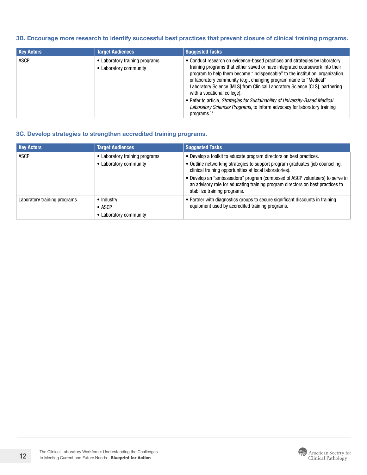#### 3B. Encourage more research to identify successful best practices that prevent closure of clinical training programs.

| <b>Key Actors</b><br><b>Target Audiences</b>                            | <b>Suggested Tasks</b>                                                                                                                                                                                                                                                                                                                                                                                                                                                                                                                                                                                         |
|-------------------------------------------------------------------------|----------------------------------------------------------------------------------------------------------------------------------------------------------------------------------------------------------------------------------------------------------------------------------------------------------------------------------------------------------------------------------------------------------------------------------------------------------------------------------------------------------------------------------------------------------------------------------------------------------------|
| <b>ASCP</b><br>• Laboratory training programs<br>• Laboratory community | • Conduct research on evidence-based practices and strategies by laboratory<br>training programs that either saved or have integrated coursework into their<br>program to help them become "indispensable" to the institution, organization,<br>or laboratory community (e.g., changing program name to "Medical"<br>Laboratory Science [MLS] from Clinical Laboratory Science [CLS], partnering<br>with a vocational college).<br>• Refer to article, Strategies for Sustainability of University-Based Medical<br>Laboratory Sciences Programs, to inform advocacy for laboratory training<br>programs. $12$ |

#### 3C. Develop strategies to strengthen accredited training programs.

| <b>Key Actors</b>            | <b>Target Audiences</b>                                  | <b>Suggested Tasks</b>                                                                                                                                                                                                                                                                                                                                                                                            |
|------------------------------|----------------------------------------------------------|-------------------------------------------------------------------------------------------------------------------------------------------------------------------------------------------------------------------------------------------------------------------------------------------------------------------------------------------------------------------------------------------------------------------|
| <b>ASCP</b>                  | • Laboratory training programs<br>• Laboratory community | • Develop a toolkit to educate program directors on best practices.<br>• Outline networking strategies to support program graduates (job counseling,<br>clinical training opportunities at local laboratories).<br>• Develop an "ambassadors" program (composed of ASCP volunteers) to serve in<br>an advisory role for educating training program directors on best practices to<br>stabilize training programs. |
| Laboratory training programs | • Industry<br>$\bullet$ ASCP<br>• Laboratory community   | • Partner with diagnostics groups to secure significant discounts in training<br>equipment used by accredited training programs.                                                                                                                                                                                                                                                                                  |



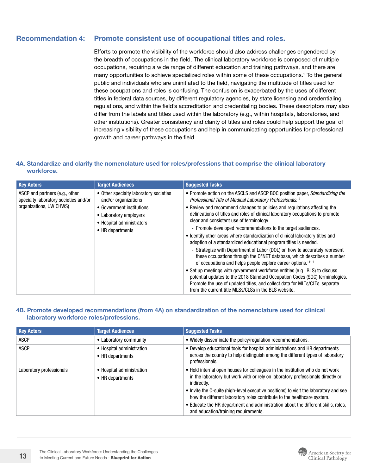#### <span id="page-12-0"></span>Recommendation 4: Promote consistent use of occupational titles and roles.

Efforts to promote the visibility of the workforce should also address challenges engendered by the breadth of occupations in the field. The clinical laboratory workforce is composed of multiple occupations, requiring a wide range of different education and training pathways, and there are many opportunities to achieve specialized roles within some of these occupations.<sup>1</sup> To the general public and individuals who are uninitiated to the field, navigating the multitude of titles used for these occupations and roles is confusing. The confusion is exacerbated by the uses of different titles in federal data sources, by different regulatory agencies, by state licensing and credentialing regulations, and within the field's accreditation and credentialing bodies. These descriptors may also differ from the labels and titles used within the laboratory (e.g., within hospitals, laboratories, and other institutions). Greater consistency and clarity of titles and roles could help support the goal of increasing visibility of these occupations and help in communicating opportunities for professional growth and career pathways in the field.

#### 4A. Standardize and clarify the nomenclature used for roles/professions that comprise the clinical laboratory workforce.

| <b>Key Actors</b>                                                                                  | <b>Target Audiences</b>                                                                                                                                                | <b>Suggested Tasks</b>                                                                                                                                                                                                                                                                                                                                                                                                                                                                                                                                                                                                                                                                                                                                                                                                                                                                                                                                                                                                                                                                                                          |
|----------------------------------------------------------------------------------------------------|------------------------------------------------------------------------------------------------------------------------------------------------------------------------|---------------------------------------------------------------------------------------------------------------------------------------------------------------------------------------------------------------------------------------------------------------------------------------------------------------------------------------------------------------------------------------------------------------------------------------------------------------------------------------------------------------------------------------------------------------------------------------------------------------------------------------------------------------------------------------------------------------------------------------------------------------------------------------------------------------------------------------------------------------------------------------------------------------------------------------------------------------------------------------------------------------------------------------------------------------------------------------------------------------------------------|
| ASCP and partners (e.g., other<br>specialty laboratory societies and/or<br>organizations, UW CHWS) | • Other specialty laboratory societies<br>and/or organizations<br>• Government institutions<br>• Laboratory employers<br>• Hospital administrators<br>• HR departments | • Promote action on the ASCLS and ASCP BOC position paper, Standardizing the<br>Professional Title of Medical Laboratory Professionals. <sup>13</sup><br>• Review and recommend changes to policies and regulations affecting the<br>delineations of titles and roles of clinical laboratory occupations to promote<br>clear and consistent use of terminology.<br>- Promote developed recommendations to the target audiences.<br>• Identify other areas where standardization of clinical laboratory titles and<br>adoption of a standardized educational program titles is needed.<br>- Strategize with Department of Labor (DOL) on how to accurately represent<br>these occupations through the O*NET database, which describes a number<br>of occupations and helps people explore career options. <sup>14-16</sup><br>• Set up meetings with government workforce entities (e.g., BLS) to discuss<br>potential updates to the 2018 Standard Occupation Codes (SOC) terminologies.<br>Promote the use of updated titles, and collect data for MLTs/CLTs, separate<br>from the current title MLSs/CLSs in the BLS website. |

#### 4B. Promote developed recommendations (from 4A) on standardization of the nomenclature used for clinical laboratory workforce roles/professions.

| <b>Key Actors</b>        | <b>Target Audiences</b>                       | <b>Suggested Tasks</b>                                                                                                                                                                                                                                                   |
|--------------------------|-----------------------------------------------|--------------------------------------------------------------------------------------------------------------------------------------------------------------------------------------------------------------------------------------------------------------------------|
| <b>ASCP</b>              | • Laboratory community                        | . Widely disseminate the policy/regulation recommendations.                                                                                                                                                                                                              |
| <b>ASCP</b>              | • Hospital administration<br>• HR departments | • Develop educational tools for hospital administrations and HR departments<br>across the country to help distinguish among the different types of laboratory<br>professionals.                                                                                          |
| Laboratory professionals | • Hospital administration<br>• HR departments | . Hold internal open houses for colleagues in the institution who do not work<br>in the laboratory but work with or rely on laboratory professionals directly or<br>indirectly.<br>• Invite the C-suite (high-level executive positions) to visit the laboratory and see |
|                          |                                               | how the different laboratory roles contribute to the healthcare system.                                                                                                                                                                                                  |
|                          |                                               | • Educate the HR department and administration about the different skills, roles,<br>and education/training requirements.                                                                                                                                                |



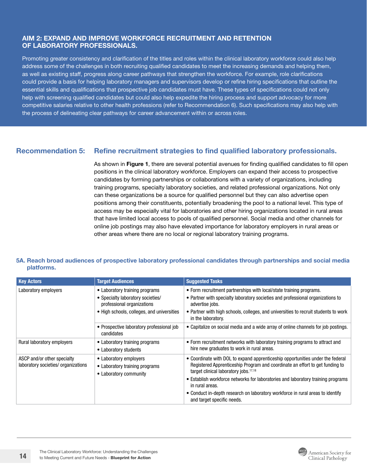#### <span id="page-13-0"></span>AIM 2: EXPAND AND IMPROVE WORKFORCE RECRUITMENT AND RETENTION OF LABORATORY PROFESSIONALS.

Promoting greater consistency and clarification of the titles and roles within the clinical laboratory workforce could also help address some of the challenges in both recruiting qualified candidates to meet the increasing demands and helping them, as well as existing staff, progress along career pathways that strengthen the workforce. For example, role clarifications could provide a basis for helping laboratory managers and supervisors develop or refine hiring specifications that outline the essential skills and qualifications that prospective job candidates must have. These types of specifications could not only help with screening qualified candidates but could also help expedite the hiring process and support advocacy for more competitive salaries relative to other health professions (refer to Recommendation 6). Such specifications may also help with the process of delineating clear pathways for career advancement within or across roles.

#### Recommendation 5: Refine recruitment strategies to find qualified laboratory professionals.

As shown in [Figure 1](#page-4-1), there are several potential avenues for finding qualified candidates to fill open positions in the clinical laboratory workforce. Employers can expand their access to prospective candidates by forming partnerships or collaborations with a variety of organizations, including training programs, specialty laboratory societies, and related professional organizations. Not only can these organizations be a source for qualified personnel but they can also advertise open positions among their constituents, potentially broadening the pool to a national level. This type of access may be especially vital for laboratories and other hiring organizations located in rural areas that have limited local access to pools of qualified personnel. Social media and other channels for online job postings may also have elevated importance for laboratory employers in rural areas or other areas where there are no local or regional laboratory training programs.

#### 5A. Reach broad audiences of prospective laboratory professional candidates through partnerships and social media platforms.

| <b>Key Actors</b>                                                  | <b>Target Audiences</b>                                                                                                                         | <b>Suggested Tasks</b>                                                                                                                                                                                                                                                                                                                                                                                                                     |
|--------------------------------------------------------------------|-------------------------------------------------------------------------------------------------------------------------------------------------|--------------------------------------------------------------------------------------------------------------------------------------------------------------------------------------------------------------------------------------------------------------------------------------------------------------------------------------------------------------------------------------------------------------------------------------------|
| Laboratory employers                                               | • Laboratory training programs<br>• Specialty laboratory societies/<br>professional organizations<br>• High schools, colleges, and universities | • Form recruitment partnerships with local/state training programs.<br>• Partner with specialty laboratory societies and professional organizations to<br>advertise jobs.<br>• Partner with high schools, colleges, and universities to recruit students to work<br>in the laboratory.                                                                                                                                                     |
|                                                                    | • Prospective laboratory professional job<br>candidates                                                                                         | • Capitalize on social media and a wide array of online channels for job postings.                                                                                                                                                                                                                                                                                                                                                         |
| Rural laboratory employers                                         | • Laboratory training programs<br>• Laboratory students                                                                                         | • Form recruitment networks with laboratory training programs to attract and<br>hire new graduates to work in rural areas.                                                                                                                                                                                                                                                                                                                 |
| ASCP and/or other specialty<br>laboratory societies/ organizations | • Laboratory employers<br>• Laboratory training programs<br>• Laboratory community                                                              | • Coordinate with DOL to expand apprenticeship opportunities under the federal<br>Registered Apprenticeship Program and coordinate an effort to get funding to<br>target clinical laboratory jobs. <sup>17,18</sup><br>• Establish workforce networks for laboratories and laboratory training programs<br>in rural areas.<br>• Conduct in-depth research on laboratory workforce in rural areas to identify<br>and target specific needs. |

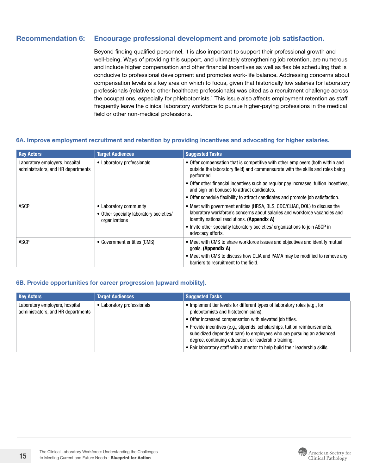#### <span id="page-14-0"></span>Recommendation 6: Encourage professional development and promote job satisfaction.

Beyond finding qualified personnel, it is also important to support their professional growth and well-being. Ways of providing this support, and ultimately strengthening job retention, are numerous and include higher compensation and other financial incentives as well as flexible scheduling that is conducive to professional development and promotes work-life balance. Addressing concerns about compensation levels is a key area on which to focus, given that historically low salaries for laboratory professionals (relative to other healthcare professionals) was cited as a recruitment challenge across the occupations, especially for phlebotomists.<sup>1</sup> This issue also affects employment retention as staff frequently leave the clinical laboratory workforce to pursue higher-paying professions in the medical field or other non-medical professions.

#### 6A. Improve employment recruitment and retention by providing incentives and advocating for higher salaries.

| <b>Key Actors</b>                                                    | <b>Target Audiences</b>                                                            | <b>Suggested Tasks</b>                                                                                                                                                                                  |
|----------------------------------------------------------------------|------------------------------------------------------------------------------------|---------------------------------------------------------------------------------------------------------------------------------------------------------------------------------------------------------|
| Laboratory employers, hospital<br>administrators, and HR departments | • Laboratory professionals                                                         | • Offer compensation that is competitive with other employers (both within and<br>outside the laboratory field) and commensurate with the skills and roles being<br>performed.                          |
|                                                                      |                                                                                    | • Offer other financial incentives such as regular pay increases, tuition incentives,<br>and sign-on bonuses to attract candidates.                                                                     |
|                                                                      |                                                                                    | • Offer schedule flexibility to attract candidates and promote job satisfaction.                                                                                                                        |
| <b>ASCP</b>                                                          | • Laboratory community<br>• Other specialty laboratory societies/<br>organizations | • Meet with government entities (HRSA, BLS, CDC/CLIAC, DOL) to discuss the<br>laboratory workforce's concerns about salaries and workforce vacancies and<br>identify national resolutions. (Appendix A) |
|                                                                      |                                                                                    | • Invite other specialty laboratory societies/ organizations to join ASCP in<br>advocacy efforts.                                                                                                       |
| <b>ASCP</b>                                                          | • Government entities (CMS)                                                        | • Meet with CMS to share workforce issues and objectives and identify mutual<br>goals. (Appendix A)                                                                                                     |
|                                                                      |                                                                                    | • Meet with CMS to discuss how CLIA and PAMA may be modified to remove any<br>barriers to recruitment to the field.                                                                                     |

#### 6B. Provide opportunities for career progression (upward mobility).

| <b>Key Actors</b>                                                    | <b>Target Audiences</b>    | <b>Suggested Tasks</b>                                                                                                                                                                                       |
|----------------------------------------------------------------------|----------------------------|--------------------------------------------------------------------------------------------------------------------------------------------------------------------------------------------------------------|
| Laboratory employers, hospital<br>administrators, and HR departments | • Laboratory professionals | • Implement tier levels for different types of laboratory roles (e.g., for<br>phlebotomists and histotechnicians).                                                                                           |
|                                                                      |                            | • Offer increased compensation with elevated job titles.                                                                                                                                                     |
|                                                                      |                            | • Provide incentives (e.g., stipends, scholarships, tuition reimbursements,<br>subsidized dependent care) to employees who are pursuing an advanced<br>degree, continuing education, or leadership training. |
|                                                                      |                            | . Pair laboratory staff with a mentor to help build their leadership skills.                                                                                                                                 |

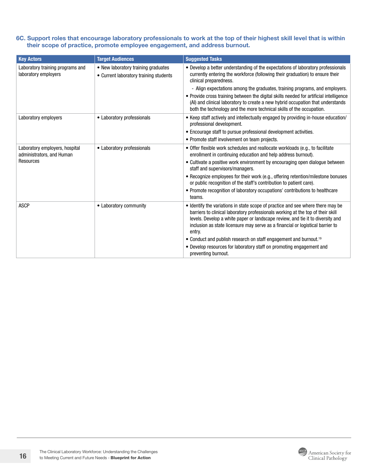#### 6C. Support roles that encourage laboratory professionals to work at the top of their highest skill level that is within their scope of practice, promote employee engagement, and address burnout.

| <b>Key Actors</b>                                                               | <b>Target Audiences</b>                                                       | <b>Suggested Tasks</b>                                                                                                                                                                                                                                                                                                                                               |
|---------------------------------------------------------------------------------|-------------------------------------------------------------------------------|----------------------------------------------------------------------------------------------------------------------------------------------------------------------------------------------------------------------------------------------------------------------------------------------------------------------------------------------------------------------|
| Laboratory training programs and<br>laboratory employers                        | • New laboratory training graduates<br>• Current laboratory training students | • Develop a better understanding of the expectations of laboratory professionals<br>currently entering the workforce (following their graduation) to ensure their<br>clinical preparedness.<br>- Align expectations among the graduates, training programs, and employers.<br>• Provide cross training between the digital skills needed for artificial intelligence |
|                                                                                 |                                                                               | (AI) and clinical laboratory to create a new hybrid occupation that understands<br>both the technology and the more technical skills of the occupation.                                                                                                                                                                                                              |
| Laboratory employers                                                            | • Laboratory professionals                                                    | • Keep staff actively and intellectually engaged by providing in-house education/<br>professional development.                                                                                                                                                                                                                                                       |
|                                                                                 |                                                                               | • Encourage staff to pursue professional development activities.                                                                                                                                                                                                                                                                                                     |
|                                                                                 |                                                                               | • Promote staff involvement on team projects.                                                                                                                                                                                                                                                                                                                        |
| Laboratory employers, hospital<br>administrators, and Human<br><b>Resources</b> | • Laboratory professionals                                                    | • Offer flexible work schedules and reallocate workloads (e.g., to facilitate<br>enrollment in continuing education and help address burnout).                                                                                                                                                                                                                       |
|                                                                                 |                                                                               | • Cultivate a positive work environment by encouraging open dialogue between<br>staff and supervisors/managers.                                                                                                                                                                                                                                                      |
|                                                                                 |                                                                               | • Recognize employees for their work (e.g., offering retention/milestone bonuses<br>or public recognition of the staff's contribution to patient care).                                                                                                                                                                                                              |
|                                                                                 |                                                                               | • Promote recognition of laboratory occupations' contributions to healthcare<br>teams.                                                                                                                                                                                                                                                                               |
| <b>ASCP</b>                                                                     | • Laboratory community                                                        | • Identify the variations in state scope of practice and see where there may be<br>barriers to clinical laboratory professionals working at the top of their skill<br>levels. Develop a white paper or landscape review, and tie it to diversity and<br>inclusion as state licensure may serve as a financial or logistical barrier to<br>entry.                     |
|                                                                                 |                                                                               | • Conduct and publish research on staff engagement and burnout. <sup>19</sup>                                                                                                                                                                                                                                                                                        |
|                                                                                 |                                                                               | • Develop resources for laboratory staff on promoting engagement and<br>preventing burnout.                                                                                                                                                                                                                                                                          |

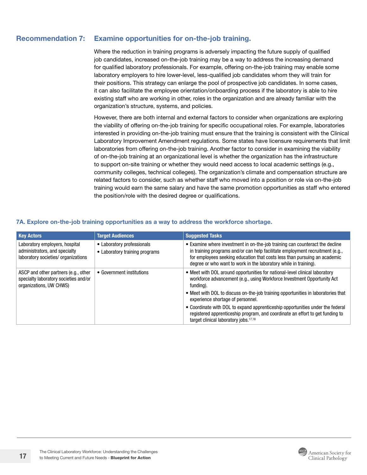#### <span id="page-16-0"></span>Recommendation 7: Examine opportunities for on-the-job training.

Where the reduction in training programs is adversely impacting the future supply of qualified job candidates, increased on-the-job training may be a way to address the increasing demand for qualified laboratory professionals. For example, offering on-the-job training may enable some laboratory employers to hire lower-level, less-qualified job candidates whom they will train for their positions. This strategy can enlarge the pool of prospective job candidates. In some cases, it can also facilitate the employee orientation/onboarding process if the laboratory is able to hire existing staff who are working in other, roles in the organization and are already familiar with the organization's structure, systems, and policies.

However, there are both internal and external factors to consider when organizations are exploring the viability of offering on-the-job training for specific occupational roles. For example, laboratories interested in providing on-the-job training must ensure that the training is consistent with the Clinical Laboratory Improvement Amendment regulations. Some states have licensure requirements that limit laboratories from offering on-the-job training. Another factor to consider in examining the viability of on-the-job training at an organizational level is whether the organization has the infrastructure to support on-site training or whether they would need access to local academic settings (e.g., community colleges, technical colleges). The organization's climate and compensation structure are related factors to consider, such as whether staff who moved into a position or role via on-the-job training would earn the same salary and have the same promotion opportunities as staff who entered the position/role with the desired degree or qualifications.

| <b>Key Actors</b>                                                                                        | <b>Target Audiences</b>                                      | <b>Suggested Tasks</b>                                                                                                                                                                                                                                                                                         |
|----------------------------------------------------------------------------------------------------------|--------------------------------------------------------------|----------------------------------------------------------------------------------------------------------------------------------------------------------------------------------------------------------------------------------------------------------------------------------------------------------------|
| Laboratory employers, hospital<br>administrators, and specialty<br>laboratory societies/ organizations   | • Laboratory professionals<br>• Laboratory training programs | • Examine where investment in on-the-job training can counteract the decline<br>in training programs and/or can help facilitate employment recruitment (e.g.,<br>for employees seeking education that costs less than pursuing an academic<br>degree or who want to work in the laboratory while in training). |
| ASCP and other partners (e.g., other<br>specialty laboratory societies and/or<br>organizations, UW CHWS) | • Government institutions                                    | • Meet with DOL around opportunities for national-level clinical laboratory<br>workforce advancement (e.g., using Workforce Investment Opportunity Act<br>funding).                                                                                                                                            |
|                                                                                                          |                                                              | • Meet with DOL to discuss on-the-job training opportunities in laboratories that<br>experience shortage of personnel.                                                                                                                                                                                         |
|                                                                                                          |                                                              | • Coordinate with DOL to expand apprenticeship opportunities under the federal<br>registered apprenticeship program, and coordinate an effort to get funding to<br>target clinical laboratory jobs. <sup>17,18</sup>                                                                                           |

#### <span id="page-16-1"></span>7A. Explore on-the-job training opportunities as a way to address the workforce shortage.

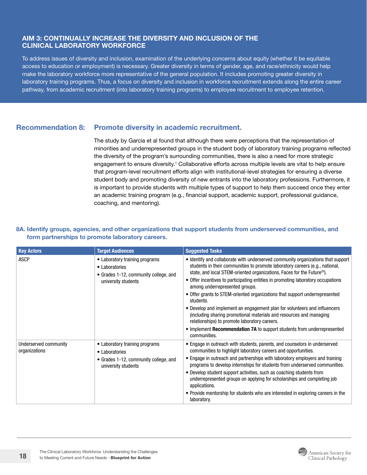#### <span id="page-17-0"></span>AIM 3: CONTINUALLY INCREASE THE DIVERSITY AND INCLUSION OF THE CLINICAL LABORATORY WORKFORCE

To address issues of diversity and inclusion, examination of the underlying concerns about equity (whether it be equitable access to education or employment) is necessary. Greater diversity in terms of gender, age, and race/ethnicity would help make the laboratory workforce more representative of the general population. It includes promoting greater diversity in laboratory training programs. Thus, a focus on diversity and inclusion in workforce recruitment extends along the entire career pathway, from academic recruitment (into laboratory training programs) to employee recruitment to employee retention.

#### Recommendation 8: Promote diversity in academic recruitment.

The study by Garcia et al found that although there were perceptions that the representation of minorities and underrepresented groups in the student body of laboratory training programs reflected the diversity of the program's surrounding communities, there is also a need for more strategic engagement to ensure diversity.<sup>1</sup> Collaborative efforts across multiple levels are vital to help ensure that program-level recruitment efforts align with institutional-level strategies for ensuring a diverse student body and promoting diversity of new entrants into the laboratory professions. Furthermore, it is important to provide students with multiple types of support to help them succeed once they enter an academic training program (e.g., financial support, academic support, professional guidance, coaching, and mentoring).

#### 8A. Identify groups, agencies, and other organizations that support students from underserved communities, and form partnerships to promote laboratory careers.

| <b>Key Actors</b>                      | <b>Target Audiences</b>                                                                                          | <b>Suggested Tasks</b>                                                                                                                                                                                                                                                                                                                                                                                                                                                                                                                                                                                                                                                                                                                                                    |
|----------------------------------------|------------------------------------------------------------------------------------------------------------------|---------------------------------------------------------------------------------------------------------------------------------------------------------------------------------------------------------------------------------------------------------------------------------------------------------------------------------------------------------------------------------------------------------------------------------------------------------------------------------------------------------------------------------------------------------------------------------------------------------------------------------------------------------------------------------------------------------------------------------------------------------------------------|
| <b>ASCP</b>                            | • Laboratory training programs<br>• Laboratories<br>• Grades 1-12, community college, and<br>university students | • Identify and collaborate with underserved community organizations that support<br>students in their communities to promote laboratory careers (e.g., national,<br>state, and local STEM-oriented organizations, Faces for the Future <sup>20</sup> ).<br>• Offer incentives to participating entities in promoting laboratory occupations<br>among underrepresented groups.<br>• Offer grants to STEM-oriented organizations that support underrepresented<br>students.<br>• Develop and implement an engagement plan for volunteers and influencers<br>(including sharing promotional materials and resources and managing<br>relationships) to promote laboratory careers.<br>• Implement Recommendation 7A to support students from underrepresented<br>communities. |
| Underserved community<br>organizations | • Laboratory training programs<br>• Laboratories<br>• Grades 1-12, community college, and<br>university students | • Engage in outreach with students, parents, and counselors in underserved<br>communities to highlight laboratory careers and opportunities.<br>• Engage in outreach and partnerships with laboratory employers and training<br>programs to develop internships for students from underserved communities.<br>• Develop student support activities, such as coaching students from<br>underrepresented groups on applying for scholarships and completing job<br>applications.<br>• Provide mentorship for students who are interested in exploring careers in the<br>laboratory.                                                                                                                                                                                         |

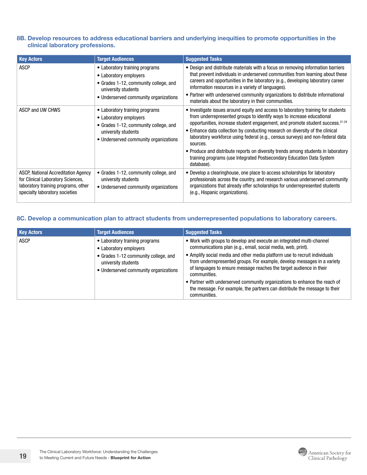#### 8B. Develop resources to address educational barriers and underlying inequities to promote opportunities in the clinical laboratory professions.

| <b>Key Actors</b>                                                                                                                                 | <b>Target Audiences</b>                                                                                                                                           | <b>Suggested Tasks</b>                                                                                                                                                                                                                                                                                                                                                                                                                                                                                                                                                                                             |
|---------------------------------------------------------------------------------------------------------------------------------------------------|-------------------------------------------------------------------------------------------------------------------------------------------------------------------|--------------------------------------------------------------------------------------------------------------------------------------------------------------------------------------------------------------------------------------------------------------------------------------------------------------------------------------------------------------------------------------------------------------------------------------------------------------------------------------------------------------------------------------------------------------------------------------------------------------------|
| <b>ASCP</b>                                                                                                                                       | • Laboratory training programs<br>• Laboratory employers<br>• Grades 1-12, community college, and<br>university students<br>• Underserved community organizations | • Design and distribute materials with a focus on removing information barriers<br>that prevent individuals in underserved communities from learning about these<br>careers and opportunities in the laboratory (e.g., developing laboratory career<br>information resources in a variety of languages).<br>• Partner with underserved community organizations to distribute informational<br>materials about the laboratory in their communities.                                                                                                                                                                 |
| ASCP and UW CHWS                                                                                                                                  | • Laboratory training programs<br>• Laboratory employers<br>• Grades 1-12, community college, and<br>university students<br>• Underserved community organizations | • Investigate issues around equity and access to laboratory training for students<br>from underrepresented groups to identify ways to increase educational<br>opportunities, increase student engagement, and promote student success. <sup>21-24</sup><br>• Enhance data collection by conducting research on diversity of the clinical<br>laboratory workforce using federal (e.g., census surveys) and non-federal data<br>sources.<br>• Produce and distribute reports on diversity trends among students in laboratory<br>training programs (use Integrated Postsecondary Education Data System<br>database). |
| ASCP, National Accreditation Agency<br>for Clinical Laboratory Sciences,<br>laboratory training programs, other<br>specialty laboratory societies | • Grades 1-12, community college, and<br>university students<br>• Underserved community organizations                                                             | • Develop a clearinghouse, one place to access scholarships for laboratory<br>professionals across the country, and research various underserved community<br>organizations that already offer scholarships for underrepresented students<br>(e.g., Hispanic organizations).                                                                                                                                                                                                                                                                                                                                       |

#### 8C. Develop a communication plan to attract students from underrepresented populations to laboratory careers.

| <b>Key Actors</b> | <b>Target Audiences</b>                                                                                                                                          | <b>Suggested Tasks</b>                                                                                                                                                                                                                                                                                                                                                                                                                                                                                                                                             |
|-------------------|------------------------------------------------------------------------------------------------------------------------------------------------------------------|--------------------------------------------------------------------------------------------------------------------------------------------------------------------------------------------------------------------------------------------------------------------------------------------------------------------------------------------------------------------------------------------------------------------------------------------------------------------------------------------------------------------------------------------------------------------|
| ASCP              | • Laboratory training programs<br>• Laboratory employers<br>• Grades 1-12 community college, and<br>university students<br>• Underserved community organizations | • Work with groups to develop and execute an integrated multi-channel<br>communications plan (e.g., email, social media, web, print).<br>• Amplify social media and other media platform use to recruit individuals<br>from underrepresented groups. For example, develop messages in a variety<br>of languages to ensure message reaches the target audience in their<br>communities.<br>• Partner with underserved community organizations to enhance the reach of<br>the message. For example, the partners can distribute the message to their<br>communities. |

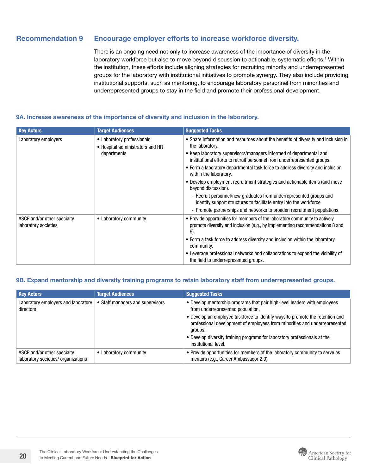#### <span id="page-19-0"></span>Recommendation 9 Encourage employer efforts to increase workforce diversity.

There is an ongoing need not only to increase awareness of the importance of diversity in the laboratory workforce but also to move beyond discussion to actionable, systematic efforts.<sup>1</sup> Within the institution, these efforts include aligning strategies for recruiting minority and underrepresented groups for the laboratory with institutional initiatives to promote synergy. They also include providing institutional supports, such as mentoring, to encourage laboratory personnel from minorities and underrepresented groups to stay in the field and promote their professional development.

#### 9A. Increase awareness of the importance of diversity and inclusion in the laboratory.

| <b>Key Actors</b>                                   | <b>Target Audiences</b>                                                       | <b>Suggested Tasks</b>                                                                                                                                                                                                                                                                                                                                                                                                                                                                                                                                                                                                                                                                            |
|-----------------------------------------------------|-------------------------------------------------------------------------------|---------------------------------------------------------------------------------------------------------------------------------------------------------------------------------------------------------------------------------------------------------------------------------------------------------------------------------------------------------------------------------------------------------------------------------------------------------------------------------------------------------------------------------------------------------------------------------------------------------------------------------------------------------------------------------------------------|
| Laboratory employers                                | • Laboratory professionals<br>• Hospital administrators and HR<br>departments | • Share information and resources about the benefits of diversity and inclusion in<br>the laboratory.<br>• Keep laboratory supervisors/managers informed of departmental and<br>institutional efforts to recruit personnel from underrepresented groups.<br>• Form a laboratory departmental task force to address diversity and inclusion<br>within the laboratory.<br>• Develop employment recruitment strategies and actionable items (and move<br>beyond discussion).<br>- Recruit personnel/new graduates from underrepresented groups and<br>identify support structures to facilitate entry into the workforce.<br>- Promote partnerships and networks to broaden recruitment populations. |
| ASCP and/or other specialty<br>laboratory societies | • Laboratory community                                                        | • Provide opportunities for members of the laboratory community to actively<br>promote diversity and inclusion (e.g., by implementing recommendations 8 and<br>9).<br>• Form a task force to address diversity and inclusion within the laboratory<br>community.<br>• Leverage professional networks and collaborations to expand the visibility of<br>the field to underrepresented groups.                                                                                                                                                                                                                                                                                                      |

#### 9B. Expand mentorship and diversity training programs to retain laboratory staff from underrepresented groups.

| <b>Key Actors</b>                                                  | <b>Target Audiences</b>          | <b>Suggested Tasks</b>                                                                                                                                                 |
|--------------------------------------------------------------------|----------------------------------|------------------------------------------------------------------------------------------------------------------------------------------------------------------------|
| Laboratory employers and laboratory<br>directors                   | • Staff managers and supervisors | • Develop mentorship programs that pair high-level leaders with employees<br>from underrepresented population.                                                         |
|                                                                    |                                  | • Develop an employee taskforce to identify ways to promote the retention and<br>professional development of employees from minorities and underrepresented<br>groups. |
|                                                                    |                                  | • Develop diversity training programs for laboratory professionals at the<br>institutional level.                                                                      |
| ASCP and/or other specialty<br>laboratory societies/ organizations | • Laboratory community           | • Provide opportunities for members of the laboratory community to serve as<br>mentors (e.g., Career Ambassador 2.0).                                                  |

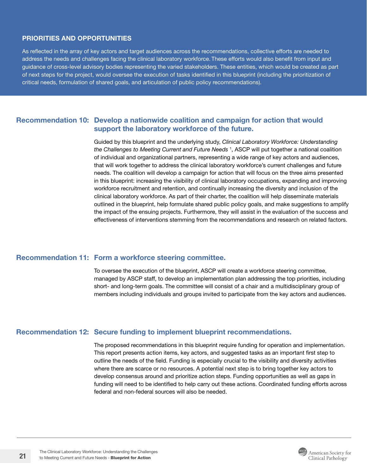#### <span id="page-20-0"></span>PRIORITIES AND OPPORTUNITIES

As reflected in the array of key actors and target audiences across the recommendations, collective efforts are needed to address the needs and challenges facing the clinical laboratory workforce. These efforts would also benefit from input and guidance of cross-level advisory bodies representing the varied stakeholders. These entities, which would be created as part of next steps for the project, would oversee the execution of tasks identified in this blueprint (including the prioritization of critical needs, formulation of shared goals, and articulation of public policy recommendations).

#### Recommendation 10: Develop a nationwide coalition and campaign for action that would support the laboratory workforce of the future.

Guided by this blueprint and the underlying study, *Clinical Laboratory Workforce: Understanding the Challenges to Meeting Current and Future Needs* <sup>1</sup> , ASCP will put together a national coalition of individual and organizational partners, representing a wide range of key actors and audiences, that will work together to address the clinical laboratory workforce's current challenges and future needs. The coalition will develop a campaign for action that will focus on the three aims presented in this blueprint: increasing the visibility of clinical laboratory occupations, expanding and improving workforce recruitment and retention, and continually increasing the diversity and inclusion of the clinical laboratory workforce. As part of their charter, the coalition will help disseminate materials outlined in the blueprint, help formulate shared public policy goals, and make suggestions to amplify the impact of the ensuing projects. Furthermore, they will assist in the evaluation of the success and effectiveness of interventions stemming from the recommendations and research on related factors.

#### Recommendation 11: Form a workforce steering committee.

To oversee the execution of the blueprint, ASCP will create a workforce steering committee, managed by ASCP staff, to develop an implementation plan addressing the top priorities, including short- and long-term goals. The committee will consist of a chair and a multidisciplinary group of members including individuals and groups invited to participate from the key actors and audiences.

#### Recommendation 12: Secure funding to implement blueprint recommendations.

The proposed recommendations in this blueprint require funding for operation and implementation. This report presents action items, key actors, and suggested tasks as an important first step to outline the needs of the field. Funding is especially crucial to the visibility and diversity activities where there are scarce or no resources. A potential next step is to bring together key actors to develop consensus around and prioritize action steps. Funding opportunities as well as gaps in funding will need to be identified to help carry out these actions. Coordinated funding efforts across federal and non-federal sources will also be needed.

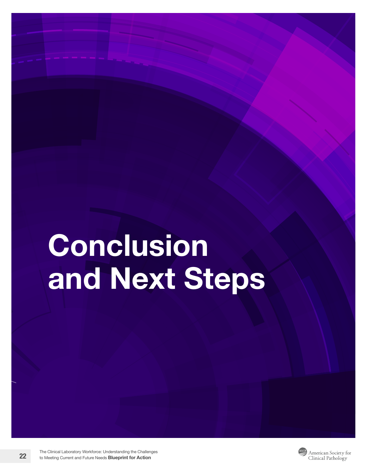# **Conclusion** and Next Steps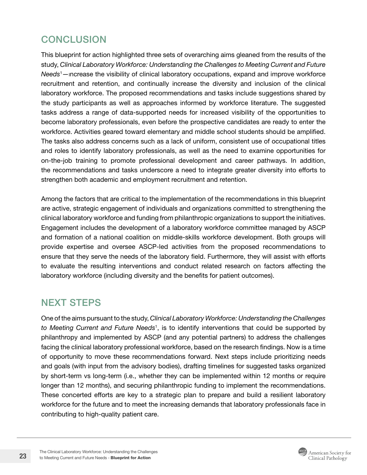# <span id="page-22-0"></span>**CONCLUSION**

This blueprint for action highlighted three sets of overarching aims gleaned from the results of the study, *Clinical Laboratory Workforce: Understanding the Challenges to Meeting Current and Future Needs*<sup>1</sup> —increase the visibility of clinical laboratory occupations, expand and improve workforce recruitment and retention, and continually increase the diversity and inclusion of the clinical laboratory workforce. The proposed recommendations and tasks include suggestions shared by the study participants as well as approaches informed by workforce literature. The suggested tasks address a range of data-supported needs for increased visibility of the opportunities to become laboratory professionals, even before the prospective candidates are ready to enter the workforce. Activities geared toward elementary and middle school students should be amplified. The tasks also address concerns such as a lack of uniform, consistent use of occupational titles and roles to identify laboratory professionals, as well as the need to examine opportunities for on-the-job training to promote professional development and career pathways. In addition, the recommendations and tasks underscore a need to integrate greater diversity into efforts to strengthen both academic and employment recruitment and retention.

Among the factors that are critical to the implementation of the recommendations in this blueprint are active, strategic engagement of individuals and organizations committed to strengthening the clinical laboratory workforce and funding from philanthropic organizations to support the initiatives. Engagement includes the development of a laboratory workforce committee managed by ASCP and formation of a national coalition on middle-skills workforce development. Both groups will provide expertise and oversee ASCP-led activities from the proposed recommendations to ensure that they serve the needs of the laboratory field. Furthermore, they will assist with efforts to evaluate the resulting interventions and conduct related research on factors affecting the laboratory workforce (including diversity and the benefits for patient outcomes).

## NEXT STEPS

One of the aims pursuant to the study, *Clinical Laboratory Workforce: Understanding the Challenges to Meeting Current and Future Needs*<sup>1</sup> , is to identify interventions that could be supported by philanthropy and implemented by ASCP (and any potential partners) to address the challenges facing the clinical laboratory professional workforce, based on the research findings. Now is a time of opportunity to move these recommendations forward. Next steps include prioritizing needs and goals (with input from the advisory bodies), drafting timelines for suggested tasks organized by short-term vs long-term (i.e., whether they can be implemented within 12 months or require longer than 12 months), and securing philanthropic funding to implement the recommendations. These concerted efforts are key to a strategic plan to prepare and build a resilient laboratory workforce for the future and to meet the increasing demands that laboratory professionals face in contributing to high-quality patient care.

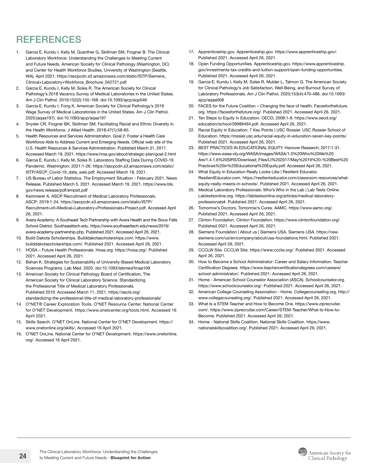# <span id="page-23-0"></span>**REFERENCES**

- 1. Garcia E, Kundu I, Kelly M, Guenther G, Skillman SM, Frogner B. The Clinical Laboratory Workforce: Understanding the Challenges to Meeting Current and Future Needs. American Society for Clinical Pathology (Washington, DC) and Center for Health Workforce Studies, University of Washington (Seattle, WA), April 2021. [https://ascpcdn.s3.amazonaws.com/static/ISTP/Siemens\\_](https://ascpcdn.s3.amazonaws.com/static/ISTP/Siemens_Clinical+Laboratory+Workforce_Brochure_042721.p) [Clinical+Laboratory+Workforce\\_Brochure\\_042721.pdf](https://ascpcdn.s3.amazonaws.com/static/ISTP/Siemens_Clinical+Laboratory+Workforce_Brochure_042721.p)
- 2. Garcia E, Kundu I, Kelly M, Soles R. The American Society for Clinical Pathology's 2018 Vacancy Survey of Medical Laboratories in the United States. Am J Clin Pathol. 2019;152(2):155-168. doi:10.1093/ajcp/aqz046
- 3. Garcia E, Kundu I, Fong K. American Society for Clinical Pathology's 2019 Wage Survey of Medical Laboratories in the United States. Am J Clin Pathol. 2020;(aqaa197). doi:10.1093/ajcp/aqaa197
- 4. Snyder CR, Frogner BK, Skillman SM. Facilitating Racial and Ethnic Diversity in the Health Workforce. J Allied Health. 2018;47(1):58-65.
- 5. Health Resources and Services Administration. Goal 2: Foster a Health Care Workforce Able to Address Current and Emerging Needs. Official web site of the U.S. Health Resources & Services Administration. Published March 31, 2017. Accessed March 19, 2021. <https://www.hrsa.gov/about/strategic-plan/goal-2.html>
- 6. Garcia E, Kundu I, Kelly M, Soles R. Laboratory Staffing Data During COVID-19 Pandemic. Washington; 2021:1-26. [https://ascpcdn.s3.amazonaws.com/static/](https://ascpcdn.s3.amazonaws.com/static/ISTP/ASCP_Covid-19_data_web.pdf) [ISTP/ASCP\\_Covid-19\\_data\\_web.pdf.](https://ascpcdn.s3.amazonaws.com/static/ISTP/ASCP_Covid-19_data_web.pdf) Accessed March 18, 2021.
- 7. US Bureau of Labor Statistics. The Employment Situation February 2021. News Release. Published March 5, 2021. Accessed March 19, 2021. [https://www.bls.](https://www.bls.gov/news.release/pdf/empsit.pdf) [gov/news.release/pdf/empsit.pdf](https://www.bls.gov/news.release/pdf/empsit.pdf)
- 8. Kemmerer A. ASCP Recruitment of Medical Laboratory Professionals. ASCP; 2019:1-24. [https://ascpcdn.s3.amazonaws.com/static/ISTP/](https://ascpcdn.s3.amazonaws.com/static/ISTP/Recruitment+of+Medical+Laboratory+Professionals+Project.pdf) [Recruitment+of+Medical+Laboratory+Professionals+Project.pdf](https://ascpcdn.s3.amazonaws.com/static/ISTP/Recruitment+of+Medical+Laboratory+Professionals+Project.pdf). Accessed April 26, 2021.
- 9. Avera Academy: A Southeast Tech Partnership with Avera Health and the Sioux Falls School District. [Southeasttech.edu](http://Southeasttech.edu). [https://www.southeasttech.edu/news/2019/](https://www.southeasttech.edu/news/2019/avera-academy-partnership.php) [avera-academy-partnership.php.](https://www.southeasttech.edu/news/2019/avera-academy-partnership.php) Published 2021. Accessed April 26, 2021.
- 10. Build Dakota Scholarships. [Builddakotascholarships.com](http://Builddakotascholarships.com). [https://www.](https://www.builddakotascholarships.com/) [builddakotascholarships.com/](https://www.builddakotascholarships.com/). Published 2021. Accessed April 26, 2021.
- 11. HOSA Future Health Professionals. [Hosa.org](http://Hosa.org).<https://hosa.org/>. Published 2021. Accessed April 26, 2021.
- 12. Behan K. Strategies for Sustainability of University-Based Medical Laboratory Sciences Programs. Lab Med. 2020. doi:10.1093/labmed/lmaa109
- 13. American Society for Clinical Pathology Board of Certification, The American Society for Clinical Laboratory Science. Standardizing the Professional Title of Medical Laboratory Professionals. Published 2019. Accessed March 11, 2021. [https://ascls.org/](https://ascls.org/standardizing-the-professional-title-of-medical-laboratory-professionals/) [standardizing-the-professional-title-of-medical-laboratory-professionals/](https://ascls.org/standardizing-the-professional-title-of-medical-laboratory-professionals/)
- 14. O\*NET® Career Exploration Tools. O\*NET Resource Center. National Center for O\*NET Development. [https://www.onetcenter.org/tools.html.](https://www.onetcenter.org/tools.html) Accessed 16 April 2021.
- 15. Skills Search. O\*NET OnLine. National Center for O\*NET Development. [https://](https://www.onetonline.org/skills/) [www.onetonline.org/skills/](https://www.onetonline.org/skills/). Accessed 16 April 2021.
- 16. O\*NET OnLine. National Center for O\*NET Development. [https://www.onetonline.](https://www.onetonline.org/) [org/.](https://www.onetonline.org/) Accessed 16 April 2021.
- 17. [Apprenticeship.gov](http://Apprenticeship.gov). [Apprenticeship.gov.](http://Apprenticeship.gov) [https://www.apprenticeship.gov/.](https://www.apprenticeship.gov/) Published 2021. Accessed April 26, 2021.
- 18. Open Funding Opportunities. [Apprenticeship.gov.](http://Apprenticeship.gov) [https://www.apprenticeship.](https://www.apprenticeship.gov/investments-tax-credits-and-tuition-support/open-funding-opportunities) [gov/investments-tax-credits-and-tuition-support/open-funding-opportunities.](https://www.apprenticeship.gov/investments-tax-credits-and-tuition-support/open-funding-opportunities) Published 2021. Accessed April 26, 2021.
- 19. Garcia E, Kundu I, Kelly M, Soles R, Mulder L, Talmon G. The American Society for Clinical Pathology's Job Satisfaction, Well-Being, and Burnout Survey of Laboratory Professionals. Am J Clin Pathol. 2020;153(4):470-486. doi:10.1093/ ajcp/aqaa008
- 20. FACES for the Future Coalition Changing the face of health. [Facesforthefuture.](http://Facesforthefuture.org) [org](http://Facesforthefuture.org).<https://facesforthefuture.org/>. Published 2021. Accessed April 26, 2021.
- 21. Ten Steps to Equity in Education. OECD; 2008:1-8. [https://www.oecd.org/](https://www.oecd.org/education/school/39989494.pdf) [education/school/39989494.pdf.](https://www.oecd.org/education/school/39989494.pdf) Accessed April 26, 2021.
- 22. Racial Equity in Education: 7 Key Points | USC Rossier. USC Rossier School of Education. [https://rossier.usc.edu/racial-equity-in-education-seven-key-points/.](https://rossier.usc.edu/racial-equity-in-education-seven-key-points/) Published 2021. Accessed April 26, 2021.
- 23. BEST PRACTICES IN EDUCATIONAL EQUITY. Hanover Research; 2017:1-31. [https://www.wasa-oly.org/WASA/images/WASA/1.0%20Who%20We%20](https://www.wasa-oly.org/WASA/images/WASA/1.0%20Who%20We%20Are/1.4.1.6%20SIRS/Download_Files/LI%202017/May%2019%20-%20Best%20Practices%20in%20Educational%20Equity.pdf) [Are/1.4.1.6%20SIRS/Download\\_Files/LI%202017/May%2019%20-%20Best%20](https://www.wasa-oly.org/WASA/images/WASA/1.0%20Who%20We%20Are/1.4.1.6%20SIRS/Download_Files/LI%202017/May%2019%20-%20Best%20Practices%20in%20Educational%20Equity.pdf) [Practices%20in%20Educational%20Equity.pdf](https://www.wasa-oly.org/WASA/images/WASA/1.0%20Who%20We%20Are/1.4.1.6%20SIRS/Download_Files/LI%202017/May%2019%20-%20Best%20Practices%20in%20Educational%20Equity.pdf). Accessed April 26, 2021.
- 24. What Equity in Education Really Looks Like | Resilient Educator. [ResilientEducator.com](http://ResilientEducator.com). [https://resilienteducator.com/classroom-resources/what](https://resilienteducator.com/classroom-resources/what-equity-really-means-in-schools/)[equity-really-means-in-schools/](https://resilienteducator.com/classroom-resources/what-equity-really-means-in-schools/). Published 2021. Accessed April 26, 2021.
- 25. Medical Laboratory Professionals: Who's Who in the Lab | Lab Tests Online. [Labtestsonline.org.](http://Labtestsonline.org) [https://labtestsonline.org/articles/medical-laboratory](https://labtestsonline.org/articles/medical-laboratory-professionals#)[professionals#](https://labtestsonline.org/articles/medical-laboratory-professionals#). Published 2021. Accessed April 26, 2021.
- 26. Tomorrow's Doctors, Tomorrow's Cures. AAMC. [https://www.aamc.org/.](https://www.aamc.org/) Published 2021. Accessed April 26, 2021.
- 27. Clinton Foundation. Clinton Foundation. [https://www.clintonfoundation.org/.](https://www.clintonfoundation.org/) Published 2021. Accessed April 26, 2021.
- 28. Siemens Foundation | About us | Siemens USA. Siemens USA. [https://new.](https://new.siemens.com/us/en/company/about/usa-foundations.html) [siemens.com/us/en/company/about/usa-foundations.html.](https://new.siemens.com/us/en/company/about/usa-foundations.html) Published 2021. Accessed April 26, 2021.
- 29. CCCLW Site. CCCLW Site.<https://www.ccclw.org/>. Published 2021. Accessed April 26, 2021.
- 30. How to Become a School Administrator: Career and Salary Information. Teacher Certification Degrees. [https://www.teachercertificationdegrees.com/careers/](https://www.teachercertificationdegrees.com/careers/school-administrator/) [school-administrator/](https://www.teachercertificationdegrees.com/careers/school-administrator/). Published 2021. Accessed April 26, 2021.
- 31. Home American School Counselor Association (ASCA). [Schoolcounselor.org](http://Schoolcounselor.org). <https://www.schoolcounselor.org/>. Published 2021. Accessed April 26, 2021.
- 32. American College Counseling Association Home. [Collegecounseling.org.](http://Collegecounseling.org) [http://](http://www.collegecounseling.org/) [www.collegecounseling.org/](http://www.collegecounseling.org/). Published 2021. Accessed April 26, 2021.
- 33. What Is a STEM Teacher and How to Become One. [https://www.ziprecruiter.](https://www.ziprecruiter.com/) [com/](https://www.ziprecruiter.com/). [https://www.ziprecruiter.com/Career/STEM-Teacher/What-Is-How-to-](https://www.ziprecruiter.com/Career/STEM-Teacher/What-Is-How-to-Become)[Become](https://www.ziprecruiter.com/Career/STEM-Teacher/What-Is-How-to-Become). Published 2021. Accessed April 26, 2021.
- 34. Home National Skills Coalition. National Skills Coalition. [https://www.](https://www.nationalskillscoalition.org/) [nationalskillscoalition.org/.](https://www.nationalskillscoalition.org/) Published 2021. Accessed April 26, 2021.

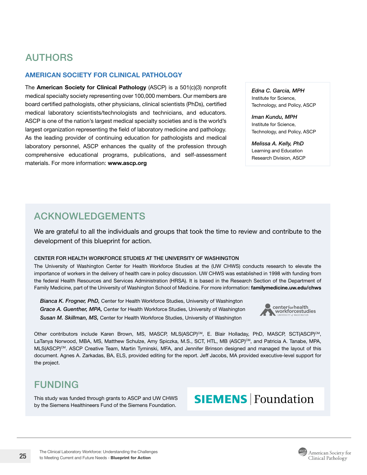# AUTHORS

#### AMERICAN SOCIETY FOR CLINICAL PATHOLOGY

The American Society for Clinical Pathology (ASCP) is a  $501(c)(3)$  nonprofit medical specialty society representing over 100,000 members. Our members are board certified pathologists, other physicians, clinical scientists (PhDs), certified medical laboratory scientists/technologists and technicians, and educators. ASCP is one of the nation's largest medical specialty societies and is the world's largest organization representing the field of laboratory medicine and pathology. As the leading provider of continuing education for pathologists and medical laboratory personnel, ASCP enhances the quality of the profession through comprehensive educational programs, publications, and self-assessment materials. For more information: [www.ascp.org](https://www.ascp.org)

*Edna C. Garcia, MPH* Institute for Science, Technology, and Policy, ASCP

*Iman Kundu, MPH* Institute for Science, Technology, and Policy, ASCP

*Melissa A. Kelly, PhD* Learning and Education Research Division, ASCP

## ACKNOWLEDGEMENTS

We are grateful to all the individuals and groups that took the time to review and contribute to the development of this blueprint for action.

#### CENTER FOR HEALTH WORKFORCE STUDIES AT THE UNIVERSITY OF WASHINGTON

The University of Washington Center for Health Workforce Studies at the (UW CHWS) conducts research to elevate the importance of workers in the delivery of health care in policy discussion. UW CHWS was established in 1998 with funding from the federal Health Resources and Services Administration (HRSA). It is based in the Research Section of the Department of Family Medicine, part of the University of Washington School of Medicine. For more information: [familymedicine.uw.edu/chws](http://familymedicine.uw.edu/chws)

*Bianca K. Frogner, PhD,* Center for Health Workforce Studies, University of Washington *Grace A. Guenther, MPA,* Center for Health Workforce Studies, University of Washington *Susan M. Skillman, MS,* Center for Health Workforce Studies, University of Washington



Other contributors include Karen Brown, MS, MASCP, MLS(ASCP)<sup>CM</sup>, E. Blair Holladay, PhD, MASCP, SCT(ASCP)<sup>CM</sup>, LaTanya Norwood, MBA, MS, Matthew Schulze, Amy Spiczka, M.S., SCT, HTL, MB (ASCP)CM, and Patricia A. Tanabe, MPA, MLS(ASCP)<sup>CM</sup>. ASCP Creative Team, Martin Tyminski, MFA, and Jennifer Brinson designed and managed the layout of this document. Agnes A. Zarkadas, BA, ELS, provided editing for the report. Jeff Jacobs, MA provided executive-level support for the project.

### FUNDING

This study was funded through grants to ASCP and UW CHWS by the Siemens Healthineers Fund of the Siemens Foundation.

# **SIEMENS | Foundation**

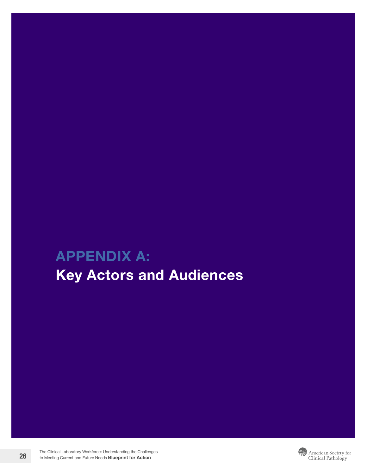# <span id="page-25-1"></span><span id="page-25-0"></span>APPENDIX A: Key Actors and Audiences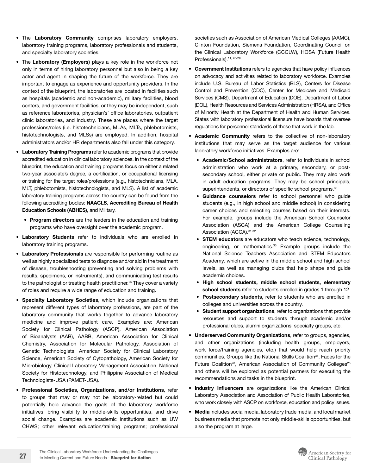- The Laboratory Community comprises laboratory employers, laboratory training programs, laboratory professionals and students, and specialty laboratory societies.
- The Laboratory (Employers) plays a key role in the workforce not only in terms of hiring laboratory personnel but also in being a key actor and agent in shaping the future of the workforce. They are important to engage as experience and opportunity providers. In the context of the blueprint, the laboratories are located in facilities such as hospitals (academic and non-academic), military facilities, blood centers, and government facilities, or they may be independent, such as reference laboratories, physician's' office laboratories, outpatient clinic laboratories, and industry. These are places where the target professions/roles (i.e. histotechnicians, MLAs, MLTs, phlebotomists, histotechnologists, and MLSs) are employed. In addition, hospital administrators and/or HR departments also fall under this category.
- Laboratory Training Programs refer to academic programs that provide accredited education in clinical laboratory sciences. In the context of the blueprint, the education and training programs focus on either a related two-year associate's degree, a certification, or occupational licensing or training for the target roles/professions (e.g., histotechnicians, MLA, MLT, phlebotomists, histotechnologists, and MLS). A list of academic laboratory training programs across the country can be found from the following accrediting bodies: [NAACLS](https://www.naacls.org/), [Accrediting Bureau of Health](https://www.abhes.org/about-us/) [Education Schools \(ABHES\)](https://www.abhes.org/about-us/), and Military.
	- Program directors are the leaders in the education and training programs who have oversight over the academic program.
- Laboratory Students refer to individuals who are enrolled in laboratory training programs.
- Laboratory Professionals are responsible for performing routine as well as highly specialized tests to diagnose and/or aid in the treatment of disease, troubleshooting (preventing and solving problems with results, specimens, or instruments), and communicating test results to the pathologist or treating health practitioner.<sup>25</sup> They cover a variety of roles and require a wide range of education and training.
- **Specialty Laboratory Societies**, which include organizations that represent different types of laboratory professions, are part of the laboratory community that works together to advance laboratory medicine and improve patient care. Examples are: American Society for Clinical Pathology (ASCP), American Association of Bioanalysts (AAB), AABB, American Association for Clinical Chemistry, Association for Molecular Pathology, Association of Genetic Technologists, American Society for Clinical Laboratory Science, American Society of Cytopathology, American Society for Microbiology, Clinical Laboratory Management Association, National Society for Histotechnology, and Philippine Association of Medical Technologists-USA (PAMET-USA).
- Professional Societies, Organizations, and/or Institutions, refer to groups that may or may not be laboratory-related but could potentially help advance the goals of the laboratory workforce initiatives, bring visibility to middle-skills opportunities, and drive social change. Examples are academic institutions such as UW CHWS; other relevant education/training programs; professional

societies such as Association of American Medical Colleges (AAMC), Clinton Foundation, Siemens Foundation, Coordinating Council on the Clinical Laboratory Workforce (CCCLW), HOSA (Future Health Professionals).<sup>11, 26-29</sup>

- Government Institutions refers to agencies that have policy influences on advocacy and activities related to laboratory workforce. Examples include U.S. Bureau of Labor Statistics (BLS), Centers for Disease Control and Prevention (CDC), Center for Medicare and Medicaid Services (CMS), Department of Education (DOE), Department of Labor (DOL), Health Resources and Services Administration (HRSA), and Office of Minority Health at the Department of Health and Human Services. States with laboratory professional licensure have boards that oversee regulations for personnel standards of those that work in the lab.
- Academic Community refers to the collective of non-laboratory institutions that may serve as the target audience for various laboratory workforce initiatives. Examples are:
	- Academic/School administrators, refer to individuals in school administration who work at a primary, secondary, or postsecondary school, either private or public. They may also work in adult education programs. They may be school principals, superintendents, or directors of specific school programs.<sup>30</sup>
	- Guidance counselors refer to school personnel who guide students (e.g., in high school and middle school) in considering career choices and selecting courses based on their interests. For example, groups include the American School Counselor Association (ASCA) and the American College Counseling Association (ACCA). 31,32
	- STEM educators are educators who teach science, technology, engineering, or mathematics.<sup>33</sup> Example groups include the National Science Teachers Association and STEM Educators Academy, which are active in the middle school and high school levels, as well as managing clubs that help shape and guide academic choices.
	- High school students, middle school students, elementary school students refer to students enrolled in grades 1 through 12.
	- Postsecondary students, refer to students who are enrolled in colleges and universities across the country.
	- Student support organizations, refer to organizations that provide resources and support to students through academic and/or professional clubs, alumni organizations, specialty groups, etc.
- Underserved Community Organizations, refer to groups, agencies, and other organizations (including health groups, employers, work force/training agencies, etc.) that would help reach priority communities. Groups like the National Skills Coalition<sup>34</sup>, Faces for the Future Coalition<sup>20</sup>, American Association of Community Colleges<sup>26</sup> and others will be explored as potential partners for executing the recommendations and tasks in the blueprint.
- Industry Influencers are organizations like the American Clinical Laboratory Association and Association of Public Health Laboratories, who work closely with ASCP on workforce, education and policy issues.
- Media includes social media, laboratory trade media, and local market business media that promote not only middle-skills opportunities, but also the program at large.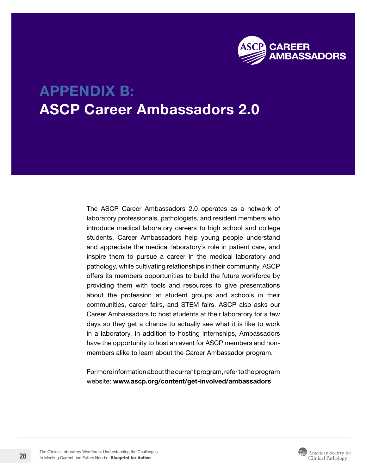

# <span id="page-27-1"></span><span id="page-27-0"></span>APPENDIX B: ASCP Career Ambassadors 2.0

The ASCP Career Ambassadors 2.0 operates as a network of laboratory professionals, pathologists, and resident members who introduce medical laboratory careers to high school and college students. Career Ambassadors help young people understand and appreciate the medical laboratory's role in patient care, and inspire them to pursue a career in the medical laboratory and pathology, while cultivating relationships in their community. ASCP offers its members opportunities to build the future workforce by providing them with tools and resources to give presentations about the profession at student groups and schools in their communities, career fairs, and STEM fairs. ASCP also asks our Career Ambassadors to host students at their laboratory for a few days so they get a chance to actually see what it is like to work in a laboratory. In addition to hosting internships, Ambassadors have the opportunity to host an event for ASCP members and nonmembers alike to learn about the Career Ambassador program.

For more information about the current program, refer to the program website: [www.ascp.org/content/get-involved/ambassadors](https://www.ascp.org/content/get-involved/ambassadors)